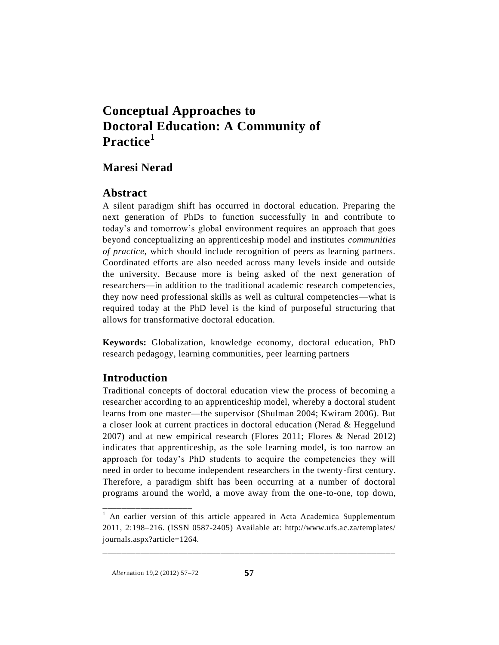# **Conceptual Approaches to Doctoral Education: A Community of Practice<sup>1</sup>**

# **Maresi Nerad**

# **Abstract**

A silent paradigm shift has occurred in doctoral education. Preparing the next generation of PhDs to function successfully in and contribute to today's and tomorrow's global environment requires an approach that goes beyond conceptualizing an apprenticeship model and institutes *communities of practice,* which should include recognition of peers as learning partners. Coordinated efforts are also needed across many levels inside and outside the university. Because more is being asked of the next generation of researchers—in addition to the traditional academic research competencies, they now need professional skills as well as cultural competencies—what is required today at the PhD level is the kind of purposeful structuring that allows for transformative doctoral education.

**Keywords:** Globalization, knowledge economy, doctoral education, PhD research pedagogy, learning communities, peer learning partners

# **Introduction**

Traditional concepts of doctoral education view the process of becoming a researcher according to an apprenticeship model, whereby a doctoral student learns from one master—the supervisor (Shulman 2004; Kwiram 2006). But a closer look at current practices in doctoral education (Nerad & Heggelund 2007) and at new empirical research (Flores 2011; Flores & Nerad 2012) indicates that apprenticeship, as the sole learning model, is too narrow an approach for today's PhD students to acquire the competencies they will need in order to become independent researchers in the twenty-first century. Therefore, a paradigm shift has been occurring at a number of doctoral programs around the world, a move away from the one-to-one, top down,

\_\_\_\_\_\_\_\_\_\_\_\_\_\_\_\_\_\_\_\_\_\_\_\_\_\_\_\_\_\_\_\_\_\_\_\_\_\_\_\_\_\_\_\_\_\_\_\_\_\_\_\_\_\_\_\_\_\_\_\_\_\_

\_\_\_\_\_\_\_\_\_\_\_\_\_\_\_\_\_\_\_

<sup>&</sup>lt;sup>1</sup> An earlier version of this article appeared in Acta Academica Supplementum 2011, 2:198–216. (ISSN 0587-2405) Available at: http://www.ufs.ac.za/templates/ journals.aspx?article=1264.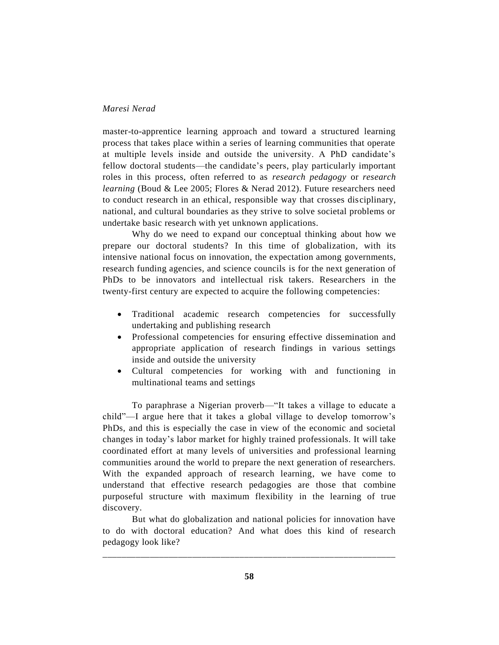master-to-apprentice learning approach and toward a structured learning process that takes place within a series of learning communities that operate at multiple levels inside and outside the university. A PhD candidate's fellow doctoral students—the candidate's peers, play particularly important roles in this process, often referred to as *research pedagogy* or *research learning* (Boud & Lee 2005; Flores & Nerad 2012). Future researchers need to conduct research in an ethical, responsible way that crosses disciplinary, national, and cultural boundaries as they strive to solve societal problems or undertake basic research with yet unknown applications.

Why do we need to expand our conceptual thinking about how we prepare our doctoral students? In this time of globalization, with its intensive national focus on innovation, the expectation among governments, research funding agencies, and science councils is for the next generation of PhDs to be innovators and intellectual risk takers. Researchers in the twenty-first century are expected to acquire the following competencies:

- Traditional academic research competencies for successfully undertaking and publishing research
- Professional competencies for ensuring effective dissemination and appropriate application of research findings in various settings inside and outside the university
- Cultural competencies for working with and functioning in multinational teams and settings

To paraphrase a Nigerian proverb—"It takes a village to educate a child"—I argue here that it takes a global village to develop tomorrow's PhDs, and this is especially the case in view of the economic and societal changes in today's labor market for highly trained professionals. It will take coordinated effort at many levels of universities and professional learning communities around the world to prepare the next generation of researchers. With the expanded approach of research learning, we have come to understand that effective research pedagogies are those that combine purposeful structure with maximum flexibility in the learning of true discovery.

But what do globalization and national policies for innovation have to do with doctoral education? And what does this kind of research pedagogy look like?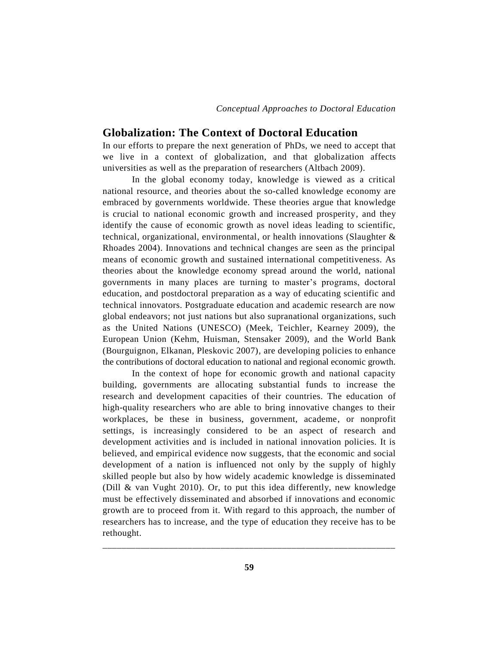*Conceptual Approaches to Doctoral Education*

#### **Globalization: The Context of Doctoral Education**

In our efforts to prepare the next generation of PhDs, we need to accept that we live in a context of globalization, and that globalization affects universities as well as the preparation of researchers (Altbach 2009).

In the global economy today, knowledge is viewed as a critical national resource, and theories about the so-called knowledge economy are embraced by governments worldwide. These theories argue that knowledge is crucial to national economic growth and increased prosperity, and they identify the cause of economic growth as novel ideas leading to scientific, technical, organizational, environmental, or health innovations (Slaughter & Rhoades 2004). Innovations and technical changes are seen as the principal means of economic growth and sustained international competitiveness. As theories about the knowledge economy spread around the world, national governments in many places are turning to master's programs, doctoral education, and postdoctoral preparation as a way of educating scientific and technical innovators. Postgraduate education and academic research are now global endeavors; not just nations but also supranational organizations, such as the United Nations (UNESCO) (Meek, Teichler, Kearney 2009), the European Union (Kehm, Huisman, Stensaker 2009), and the World Bank (Bourguignon, Elkanan, Pleskovic 2007), are developing policies to enhance the contributions of doctoral education to national and regional economic growth.

In the context of hope for economic growth and national capacity building, governments are allocating substantial funds to increase the research and development capacities of their countries. The education of high-quality researchers who are able to bring innovative changes to their workplaces, be these in business, government, academe, or nonprofit settings, is increasingly considered to be an aspect of research and development activities and is included in national innovation policies. It is believed, and empirical evidence now suggests, that the economic and social development of a nation is influenced not only by the supply of highly skilled people but also by how widely academic knowledge is disseminated (Dill & van Vught 2010). Or, to put this idea differently, new knowledge must be effectively disseminated and absorbed if innovations and economic growth are to proceed from it. With regard to this approach, the number of researchers has to increase, and the type of education they receive has to be rethought.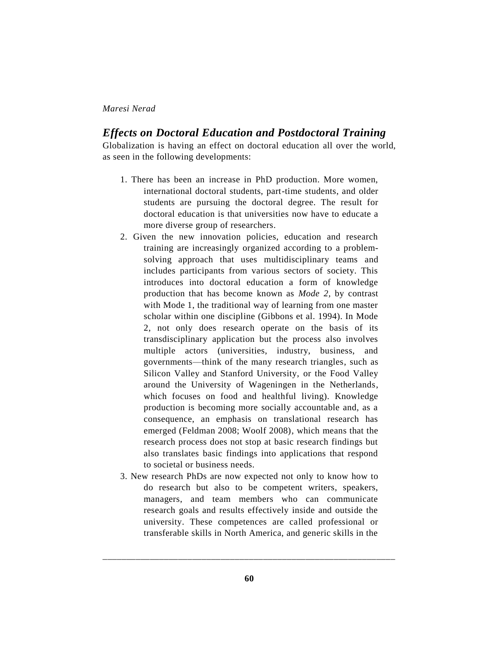## *Effects on Doctoral Education and Postdoctoral Training*

Globalization is having an effect on doctoral education all over the world, as seen in the following developments:

- 1. There has been an increase in PhD production. More women, international doctoral students, part-time students, and older students are pursuing the doctoral degree. The result for doctoral education is that universities now have to educate a more diverse group of researchers.
- 2. Given the new innovation policies, education and research training are increasingly organized according to a problemsolving approach that uses multidisciplinary teams and includes participants from various sectors of society. This introduces into doctoral education a form of knowledge production that has become known as *Mode 2,* by contrast with Mode 1, the traditional way of learning from one master scholar within one discipline (Gibbons et al. 1994). In Mode 2, not only does research operate on the basis of its transdisciplinary application but the process also involves multiple actors (universities, industry, business, and governments—think of the many research triangles, such as Silicon Valley and Stanford University, or the Food Valley around the University of Wageningen in the Netherlands, which focuses on food and healthful living). Knowledge production is becoming more socially accountable and, as a consequence, an emphasis on translational research has emerged (Feldman 2008; Woolf 2008), which means that the research process does not stop at basic research findings but also translates basic findings into applications that respond to societal or business needs.
- 3. New research PhDs are now expected not only to know how to do research but also to be competent writers, speakers, managers, and team members who can communicate research goals and results effectively inside and outside the university. These competences are called professional or transferable skills in North America, and generic skills in the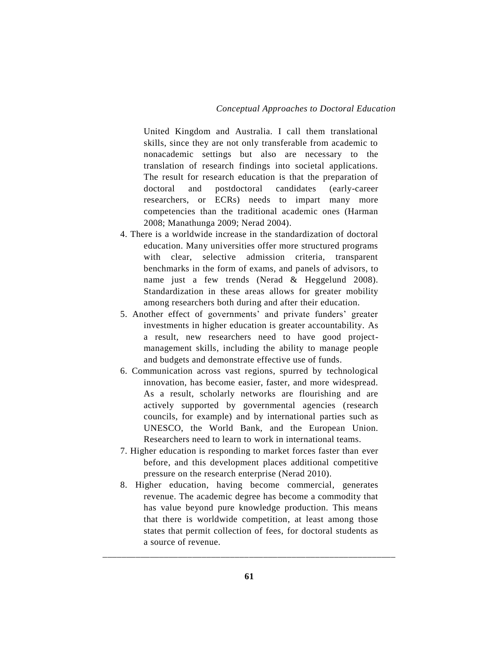United Kingdom and Australia. I call them translational skills, since they are not only transferable from academic to nonacademic settings but also are necessary to the translation of research findings into societal applications. The result for research education is that the preparation of doctoral and postdoctoral candidates (early-career researchers, or ECRs) needs to impart many more competencies than the traditional academic ones (Harman 2008; Manathunga 2009; Nerad 2004).

- 4. There is a worldwide increase in the standardization of doctoral education. Many universities offer more structured programs with clear, selective admission criteria, transparent benchmarks in the form of exams, and panels of advisors, to name just a few trends (Nerad & Heggelund 2008). Standardization in these areas allows for greater mobility among researchers both during and after their education.
- 5. Another effect of governments' and private funders' greater investments in higher education is greater accountability. As a result, new researchers need to have good projectmanagement skills, including the ability to manage people and budgets and demonstrate effective use of funds.
- 6. Communication across vast regions, spurred by technological innovation, has become easier, faster, and more widespread. As a result, scholarly networks are flourishing and are actively supported by governmental agencies (research councils, for example) and by international parties such as UNESCO, the World Bank, and the European Union. Researchers need to learn to work in international teams.
- 7. Higher education is responding to market forces faster than ever before, and this development places additional competitive pressure on the research enterprise (Nerad 2010).
- 8. Higher education, having become commercial, generates revenue. The academic degree has become a commodity that has value beyond pure knowledge production. This means that there is worldwide competition, at least among those states that permit collection of fees, for doctoral students as a source of revenue.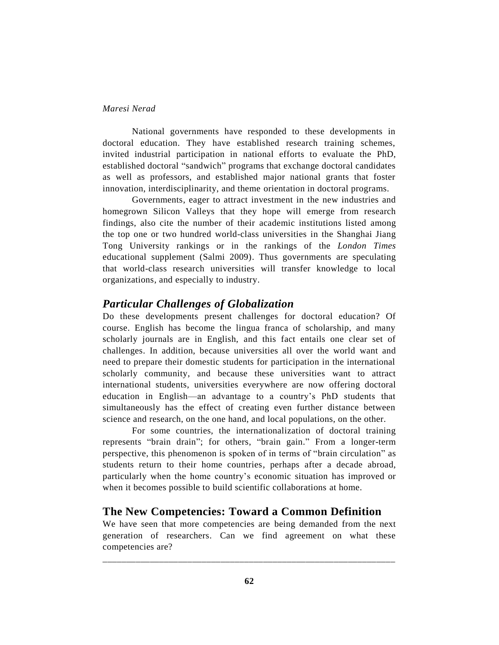National governments have responded to these developments in doctoral education. They have established research training schemes, invited industrial participation in national efforts to evaluate the PhD, established doctoral "sandwich" programs that exchange doctoral candidates as well as professors, and established major national grants that foster innovation, interdisciplinarity, and theme orientation in doctoral programs.

Governments, eager to attract investment in the new industries and homegrown Silicon Valleys that they hope will emerge from research findings, also cite the number of their academic institutions listed among the top one or two hundred world-class universities in the Shanghai Jiang Tong University rankings or in the rankings of the *London Times* educational supplement (Salmi 2009). Thus governments are speculating that world-class research universities will transfer knowledge to local organizations, and especially to industry.

# *Particular Challenges of Globalization*

Do these developments present challenges for doctoral education? Of course. English has become the lingua franca of scholarship, and many scholarly journals are in English, and this fact entails one clear set of challenges. In addition, because universities all over the world want and need to prepare their domestic students for participation in the international scholarly community, and because these universities want to attract international students, universities everywhere are now offering doctoral education in English—an advantage to a country's PhD students that simultaneously has the effect of creating even further distance between science and research, on the one hand, and local populations, on the other.

For some countries, the internationalization of doctoral training represents "brain drain"; for others, "brain gain." From a longer-term perspective, this phenomenon is spoken of in terms of "brain circulation" as students return to their home countries, perhaps after a decade abroad, particularly when the home country's economic situation has improved or when it becomes possible to build scientific collaborations at home.

## **The New Competencies: Toward a Common Definition**

We have seen that more competencies are being demanded from the next generation of researchers. Can we find agreement on what these competencies are?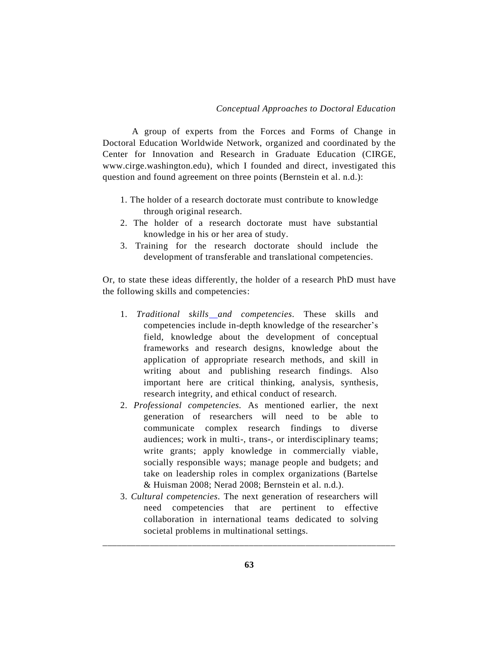A group of experts from the Forces and Forms of Change in Doctoral Education Worldwide Network, organized and coordinated by the Center for Innovation and Research in Graduate Education (CIRGE, www.cirge.washington.edu), which I founded and direct, investigated this question and found agreement on three points (Bernstein et al. n.d.):

- 1. The holder of a research doctorate must contribute to knowledge through original research.
- 2. The holder of a research doctorate must have substantial knowledge in his or her area of study.
- 3. Training for the research doctorate should include the development of transferable and translational competencies.

Or, to state these ideas differently, the holder of a research PhD must have the following skills and competencies:

- 1. *Traditional skills and competencies.* These skills and competencies include in-depth knowledge of the researcher's field, knowledge about the development of conceptual frameworks and research designs, knowledge about the application of appropriate research methods, and skill in writing about and publishing research findings. Also important here are critical thinking, analysis, synthesis, research integrity, and ethical conduct of research.
- 2. *Professional competencies.* As mentioned earlier, the next generation of researchers will need to be able to communicate complex research findings to diverse audiences; work in multi-, trans-, or interdisciplinary teams; write grants; apply knowledge in commercially viable, socially responsible ways; manage people and budgets; and take on leadership roles in complex organizations (Bartelse & Huisman 2008; Nerad 2008; Bernstein et al. n.d.).
- 3. *Cultural competencies.* The next generation of researchers will need competencies that are pertinent to effective collaboration in international teams dedicated to solving societal problems in multinational settings.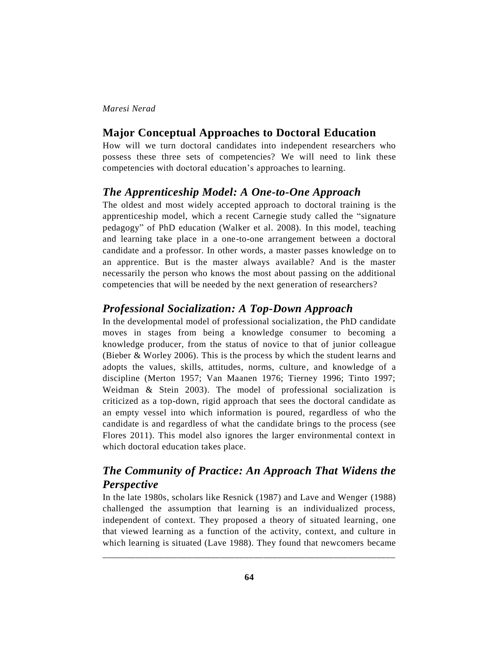#### **Major Conceptual Approaches to Doctoral Education**

How will we turn doctoral candidates into independent researchers who possess these three sets of competencies? We will need to link these competencies with doctoral education's approaches to learning.

# *The Apprenticeship Model: A One-to-One Approach*

The oldest and most widely accepted approach to doctoral training is the apprenticeship model, which a recent Carnegie study called the "signature pedagogy" of PhD education (Walker et al. 2008). In this model, teaching and learning take place in a one-to-one arrangement between a doctoral candidate and a professor. In other words, a master passes knowledge on to an apprentice. But is the master always available? And is the master necessarily the person who knows the most about passing on the additional competencies that will be needed by the next generation of researchers?

# *Professional Socialization: A Top-Down Approach*

In the developmental model of professional socialization, the PhD candidate moves in stages from being a knowledge consumer to becoming a knowledge producer, from the status of novice to that of junior colleague (Bieber & Worley 2006). This is the process by which the student learns and adopts the values, skills, attitudes, norms, culture, and knowledge of a discipline (Merton 1957; Van Maanen 1976; Tierney 1996; Tinto 1997; Weidman & Stein 2003). The model of professional socialization is criticized as a top-down, rigid approach that sees the doctoral candidate as an empty vessel into which information is poured, regardless of who the candidate is and regardless of what the candidate brings to the process (see Flores 2011). This model also ignores the larger environmental context in which doctoral education takes place.

# *The Community of Practice: An Approach That Widens the Perspective*

In the late 1980s, scholars like Resnick (1987) and Lave and Wenger (1988) challenged the assumption that learning is an individualized process, independent of context. They proposed a theory of situated learning, one that viewed learning as a function of the activity, context, and culture in which learning is situated (Lave 1988). They found that newcomers became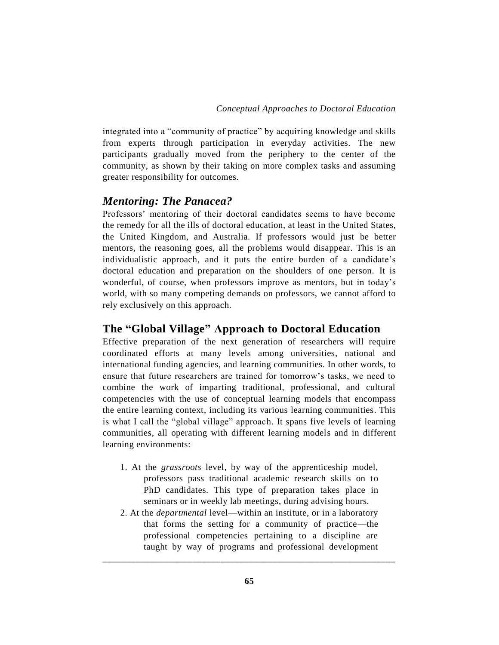integrated into a "community of practice" by acquiring knowledge and skills from experts through participation in everyday activities. The new participants gradually moved from the periphery to the center of the community, as shown by their taking on more complex tasks and assuming greater responsibility for outcomes.

# *Mentoring: The Panacea?*

Professors' mentoring of their doctoral candidates seems to have become the remedy for all the ills of doctoral education, at least in the United States, the United Kingdom, and Australia. If professors would just be better mentors, the reasoning goes, all the problems would disappear. This is an individualistic approach, and it puts the entire burden of a candidate's doctoral education and preparation on the shoulders of one person. It is wonderful, of course, when professors improve as mentors, but in today's world, with so many competing demands on professors, we cannot afford to rely exclusively on this approach.

# **The "Global Village" Approach to Doctoral Education**

Effective preparation of the next generation of researchers will require coordinated efforts at many levels among universities, national and international funding agencies, and learning communities. In other words, to ensure that future researchers are trained for tomorrow's tasks, we need to combine the work of imparting traditional, professional, and cultural competencies with the use of conceptual learning models that encompass the entire learning context, including its various learning communities. This is what I call the "global village" approach. It spans five levels of learning communities, all operating with different learning models and in different learning environments:

- 1. At the *grassroots* level, by way of the apprenticeship model, professors pass traditional academic research skills on to PhD candidates. This type of preparation takes place in seminars or in weekly lab meetings, during advising hours.
- 2. At the *departmental* level—within an institute, or in a laboratory that forms the setting for a community of practice—the professional competencies pertaining to a discipline are taught by way of programs and professional development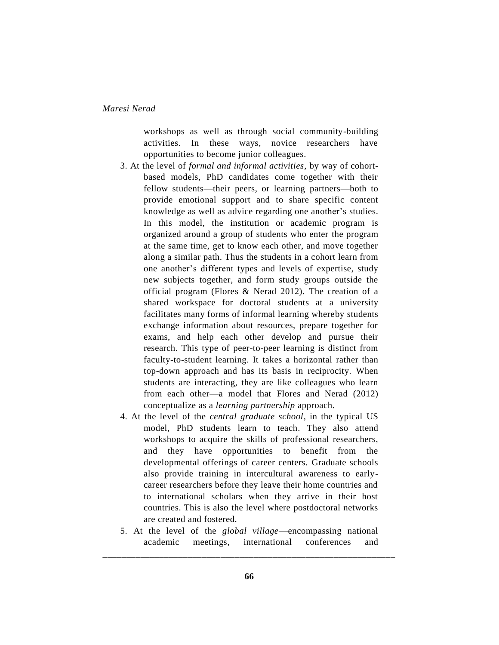workshops as well as through social community-building activities. In these ways, novice researchers have opportunities to become junior colleagues.

- 3. At the level of *formal and informal activities,* by way of cohortbased models, PhD candidates come together with their fellow students—their peers, or learning partners—both to provide emotional support and to share specific content knowledge as well as advice regarding one another's studies. In this model, the institution or academic program is organized around a group of students who enter the program at the same time, get to know each other, and move together along a similar path. Thus the students in a cohort learn from one another's different types and levels of expertise, study new subjects together, and form study groups outside the official program (Flores & Nerad 2012). The creation of a shared workspace for doctoral students at a university facilitates many forms of informal learning whereby students exchange information about resources, prepare together for exams, and help each other develop and pursue their research. This type of peer-to-peer learning is distinct from faculty-to-student learning. It takes a horizontal rather than top-down approach and has its basis in reciprocity. When students are interacting, they are like colleagues who learn from each other—a model that Flores and Nerad (2012) conceptualize as a *learning partnership* approach.
- 4. At the level of the *central graduate school,* in the typical US model, PhD students learn to teach. They also attend workshops to acquire the skills of professional researchers, and they have opportunities to benefit from the developmental offerings of career centers. Graduate schools also provide training in intercultural awareness to earlycareer researchers before they leave their home countries and to international scholars when they arrive in their host countries. This is also the level where postdoctoral networks are created and fostered.
- 5. At the level of the *global village*—encompassing national academic meetings, international conferences and \_\_\_\_\_\_\_\_\_\_\_\_\_\_\_\_\_\_\_\_\_\_\_\_\_\_\_\_\_\_\_\_\_\_\_\_\_\_\_\_\_\_\_\_\_\_\_\_\_\_\_\_\_\_\_\_\_\_\_\_\_\_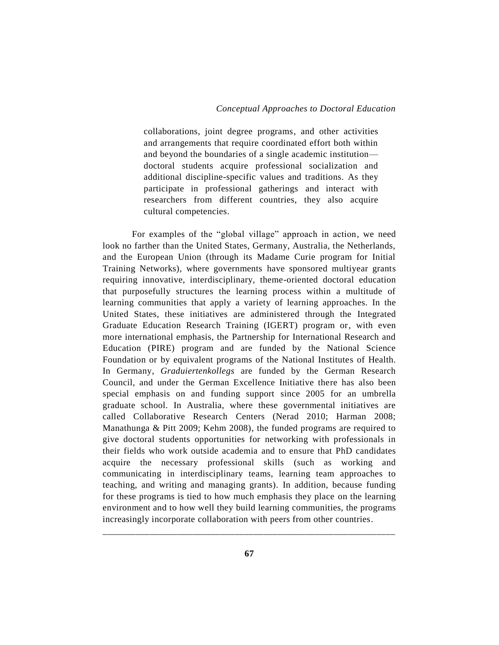collaborations, joint degree programs, and other activities and arrangements that require coordinated effort both within and beyond the boundaries of a single academic institution doctoral students acquire professional socialization and additional discipline-specific values and traditions. As they participate in professional gatherings and interact with researchers from different countries, they also acquire cultural competencies.

For examples of the "global village" approach in action, we need look no farther than the United States, Germany, Australia, the Netherlands, and the European Union (through its Madame Curie program for Initial Training Networks), where governments have sponsored multiyear grants requiring innovative, interdisciplinary, theme-oriented doctoral education that purposefully structures the learning process within a multitude of learning communities that apply a variety of learning approaches. In the United States, these initiatives are administered through the Integrated Graduate Education Research Training (IGERT) program or, with even more international emphasis, the Partnership for International Research and Education (PIRE) program and are funded by the National Science Foundation or by equivalent programs of the National Institutes of Health. In Germany, *Graduiertenkollegs* are funded by the German Research Council, and under the German Excellence Initiative there has also been special emphasis on and funding support since 2005 for an umbrella graduate school. In Australia, where these governmental initiatives are called Collaborative Research Centers (Nerad 2010; Harman 2008; Manathunga & Pitt 2009; Kehm 2008), the funded programs are required to give doctoral students opportunities for networking with professionals in their fields who work outside academia and to ensure that PhD candidates acquire the necessary professional skills (such as working and communicating in interdisciplinary teams, learning team approaches to teaching, and writing and managing grants). In addition, because funding for these programs is tied to how much emphasis they place on the learning environment and to how well they build learning communities, the programs increasingly incorporate collaboration with peers from other countries.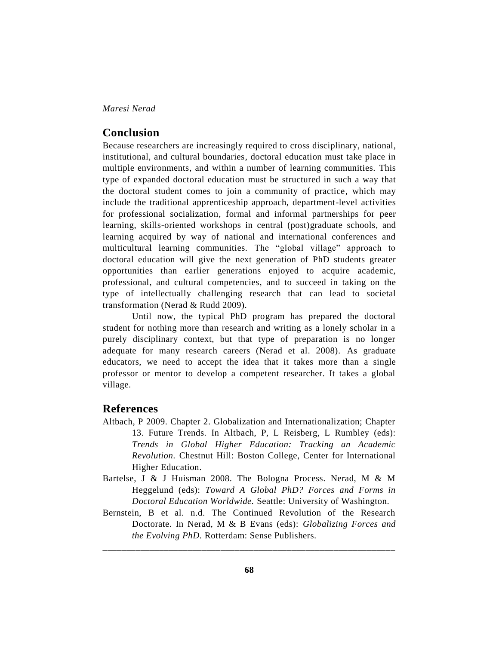#### **Conclusion**

Because researchers are increasingly required to cross disciplinary, national, institutional, and cultural boundaries, doctoral education must take place in multiple environments, and within a number of learning communities. This type of expanded doctoral education must be structured in such a way that the doctoral student comes to join a community of practice, which may include the traditional apprenticeship approach, department-level activities for professional socialization, formal and informal partnerships for peer learning, skills-oriented workshops in central (post)graduate schools, and learning acquired by way of national and international conferences and multicultural learning communities. The "global village" approach to doctoral education will give the next generation of PhD students greater opportunities than earlier generations enjoyed to acquire academic, professional, and cultural competencies, and to succeed in taking on the type of intellectually challenging research that can lead to societal transformation (Nerad & Rudd 2009).

Until now, the typical PhD program has prepared the doctoral student for nothing more than research and writing as a lonely scholar in a purely disciplinary context, but that type of preparation is no longer adequate for many research careers (Nerad et al. 2008). As graduate educators, we need to accept the idea that it takes more than a single professor or mentor to develop a competent researcher. It takes a global village.

# **References**

- Altbach, P 2009. Chapter 2. Globalization and Internationalization; Chapter 13. Future Trends. In Altbach, P, L Reisberg, L Rumbley (eds): *Trends in Global Higher Education: Tracking an Academic Revolution.* Chestnut Hill: Boston College, Center for International Higher Education.
- Bartelse, J & J Huisman 2008. The Bologna Process. Nerad, M & M Heggelund (eds): *Toward A Global PhD? Forces and Forms in Doctoral Education Worldwide.* Seattle: University of Washington.
- Bernstein, B et al. n.d. The Continued Revolution of the Research Doctorate. In Nerad, M & B Evans (eds): *Globalizing Forces and the Evolving PhD.* Rotterdam: Sense Publishers.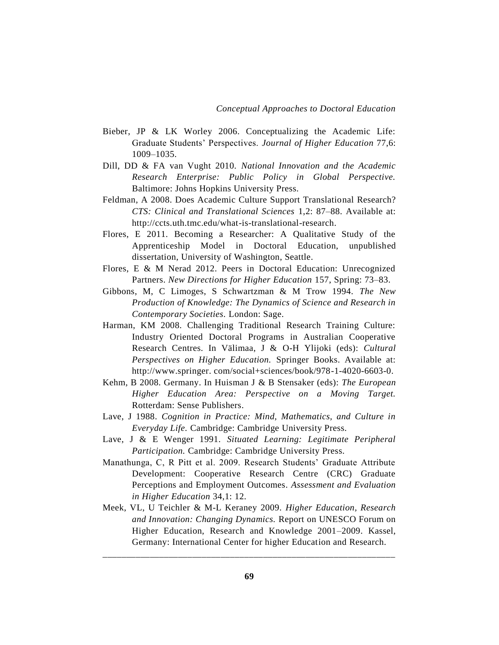- Bieber, JP & LK Worley 2006. Conceptualizing the Academic Life: Graduate Students' Perspectives. *Journal of Higher Education* 77,6: 1009–1035.
- Dill, DD & FA van Vught 2010. *National Innovation and the Academic Research Enterprise: Public Policy in Global Perspective.* Baltimore: Johns Hopkins University Press.
- Feldman, A 2008. Does Academic Culture Support Translational Research? *CTS: Clinical and Translational Sciences* 1,2: 87–88. Available at: http://ccts.uth.tmc.edu/what-is-translational-research.
- Flores, E 2011. Becoming a Researcher: A Qualitative Study of the Apprenticeship Model in Doctoral Education, unpublished dissertation, University of Washington, Seattle.
- Flores, E & M Nerad 2012. Peers in Doctoral Education: Unrecognized Partners. *New Directions for Higher Education* 157, Spring: 73–83.
- Gibbons, M, C Limoges, S Schwartzman & M Trow 1994. *The New Production of Knowledge: The Dynamics of Science and Research in Contemporary Societies.* London: Sage.
- Harman, KM 2008. Challenging Traditional Research Training Culture: Industry Oriented Doctoral Programs in Australian Cooperative Research Centres. In Välimaa, J & O-H Ylijoki (eds): *Cultural Perspectives on Higher Education.* Springer Books. Available at: http://www.springer. com/social+sciences/book/978-1-4020-6603-0.
- Kehm, B 2008. Germany. In Huisman J & B Stensaker (eds): *The European Higher Education Area: Perspective on a Moving Target.* Rotterdam: Sense Publishers.
- Lave, J 1988. *Cognition in Practice: Mind, Mathematics, and Culture in Everyday Life.* Cambridge: Cambridge University Press.
- Lave, J & E Wenger 1991. *Situated Learning: Legitimate Peripheral Participation.* Cambridge: Cambridge University Press.
- Manathunga, C, R Pitt et al. 2009. Research Students' Graduate Attribute Development: Cooperative Research Centre (CRC) Graduate Perceptions and Employment Outcomes. *Assessment and Evaluation in Higher Education* 34,1: 12.
- Meek, VL, U Teichler & M-L Keraney 2009. *Higher Education, Research and Innovation: Changing Dynamics.* Report on UNESCO Forum on Higher Education, Research and Knowledge 2001–2009. Kassel, Germany: International Center for higher Education and Research.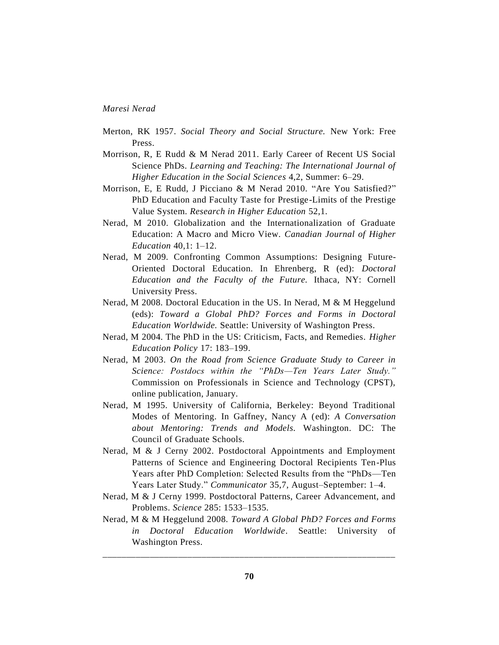- Merton, RK 1957. *Social Theory and Social Structure.* New York: Free Press.
- Morrison, R, E Rudd & M Nerad 2011. Early Career of Recent US Social Science PhDs. *Learning and Teaching: The International Journal of Higher Education in the Social Sciences* 4,2, Summer: 6–29.
- Morrison, E, E Rudd, J Picciano & M Nerad 2010. "Are You Satisfied?" PhD Education and Faculty Taste for Prestige-Limits of the Prestige Value System. *Research in Higher Education* 52,1.
- Nerad, M 2010. Globalization and the Internationalization of Graduate Education: A Macro and Micro View. *Canadian Journal of Higher Education* 40,1: 1–12.
- Nerad, M 2009. Confronting Common Assumptions: Designing Future-Oriented Doctoral Education. In Ehrenberg, R (ed): *Doctoral Education and the Faculty of the Future.* Ithaca, NY: Cornell University Press.
- Nerad, M 2008. Doctoral Education in the US. In Nerad, M & M Heggelund (eds): *Toward a Global PhD? Forces and Forms in Doctoral Education Worldwide.* Seattle: University of Washington Press.
- Nerad, M 2004. The PhD in the US: Criticism, Facts, and Remedies. *Higher Education Policy* 17: 183–199.
- Nerad, M 2003. *On the Road from Science Graduate Study to Career in Science: Postdocs within the "PhDs—Ten Years Later Study."* Commission on Professionals in Science and Technology (CPST), online publication, January.
- Nerad, M 1995. University of California, Berkeley: Beyond Traditional Modes of Mentoring. In Gaffney, Nancy A (ed): *A Conversation about Mentoring: Trends and Models.* Washington. DC: The Council of Graduate Schools.
- Nerad, M & J Cerny 2002. Postdoctoral Appointments and Employment Patterns of Science and Engineering Doctoral Recipients Ten-Plus Years after PhD Completion: Selected Results from the "PhDs—Ten Years Later Study." *Communicator* 35,7, August–September: 1–4.
- Nerad, M & J Cerny 1999. Postdoctoral Patterns, Career Advancement, and Problems. *Science* 285: 1533–1535.
- Nerad, M & M Heggelund 2008. *Toward A Global PhD? Forces and Forms in Doctoral Education Worldwide*. Seattle: University of Washington Press.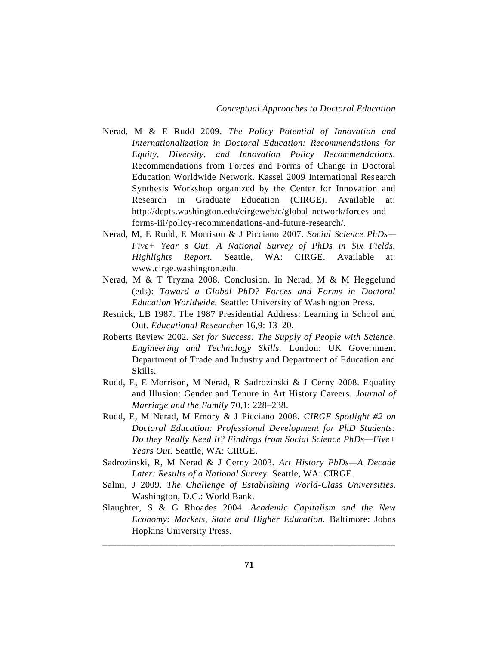- Nerad, M & E Rudd 2009. *The Policy Potential of Innovation and Internationalization in Doctoral Education: Recommendations for Equity, Diversity, and Innovation Policy Recommendations.* Recommendations from Forces and Forms of Change in Doctoral Education Worldwide Network. Kassel 2009 International Research Synthesis Workshop organized by the Center for Innovation and Research in Graduate Education (CIRGE). Available at: http://depts.washington.edu/cirgeweb/c/global-network/forces-andforms-iii/policy-recommendations-and-future-research/.
- Nerad, M, E Rudd, E Morrison & J Picciano 2007. *Social Science PhDs— Five+ Year s Out. A National Survey of PhDs in Six Fields. Highlights Report.* Seattle, WA: CIRGE. Available at: www.cirge.washington.edu.
- Nerad, M & T Tryzna 2008. Conclusion. In Nerad, M & M Heggelund (eds): *Toward a Global PhD? Forces and Forms in Doctoral Education Worldwide.* Seattle: University of Washington Press.
- Resnick, LB 1987. The 1987 Presidential Address: Learning in School and Out. *Educational Researcher* 16,9: 13–20.
- Roberts Review 2002. *Set for Success: The Supply of People with Science, Engineering and Technology Skills.* London: UK Government Department of Trade and Industry and Department of Education and Skills.
- Rudd, E, E Morrison, M Nerad, R Sadrozinski & J Cerny 2008. Equality and Illusion: Gender and Tenure in Art History Careers. *Journal of Marriage and the Family* 70,1: 228–238.
- Rudd, E, M Nerad, M Emory & J Picciano 2008. *CIRGE Spotlight #2 on Doctoral Education: Professional Development for PhD Students: Do they Really Need It? Findings from Social Science PhDs—Five+ Years Out.* Seattle, WA: CIRGE.
- Sadrozinski, R, M Nerad & J Cerny 2003. *Art History PhDs—A Decade Later: Results of a National Survey.* Seattle, WA: CIRGE.
- Salmi, J 2009. *The Challenge of Establishing World-Class Universities.* Washington, D.C.: World Bank.
- Slaughter, S & G Rhoades 2004. *Academic Capitalism and the New Economy: Markets, State and Higher Education.* Baltimore: Johns Hopkins University Press.